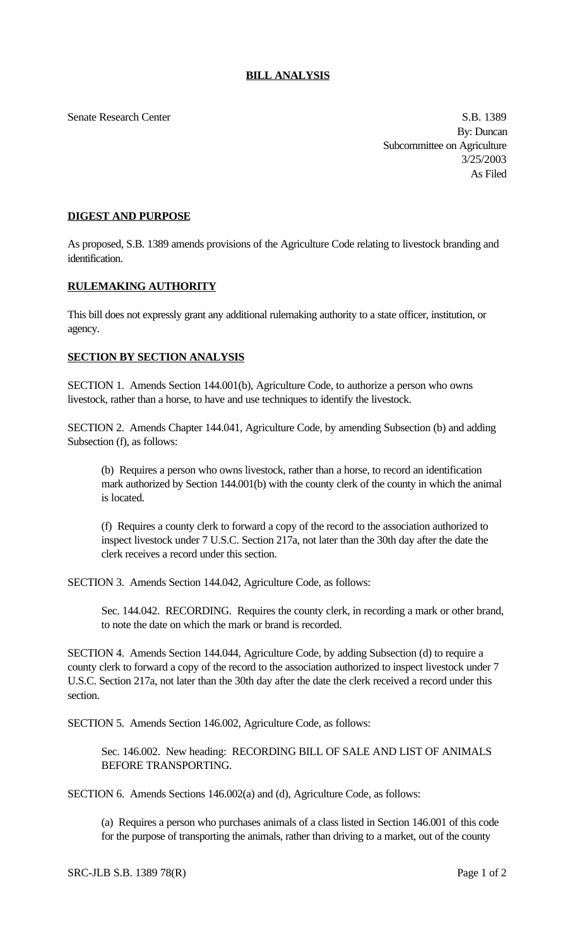Senate Research Center S.B. 1389

By: Duncan Subcommittee on Agriculture 3/25/2003 As Filed

## **DIGEST AND PURPOSE**

As proposed, S.B. 1389 amends provisions of the Agriculture Code relating to livestock branding and identification.

## **RULEMAKING AUTHORITY**

This bill does not expressly grant any additional rulemaking authority to a state officer, institution, or agency.

## **SECTION BY SECTION ANALYSIS**

SECTION 1. Amends Section 144.001(b), Agriculture Code, to authorize a person who owns livestock, rather than a horse, to have and use techniques to identify the livestock.

SECTION 2. Amends Chapter 144.041, Agriculture Code, by amending Subsection (b) and adding Subsection (f), as follows:

(b) Requires a person who owns livestock, rather than a horse, to record an identification mark authorized by Section 144.001(b) with the county clerk of the county in which the animal is located.

(f) Requires a county clerk to forward a copy of the record to the association authorized to inspect livestock under 7 U.S.C. Section 217a, not later than the 30th day after the date the clerk receives a record under this section.

SECTION 3. Amends Section 144.042, Agriculture Code, as follows:

Sec. 144.042. RECORDING. Requires the county clerk, in recording a mark or other brand, to note the date on which the mark or brand is recorded.

SECTION 4. Amends Section 144.044, Agriculture Code, by adding Subsection (d) to require a county clerk to forward a copy of the record to the association authorized to inspect livestock under 7 U.S.C. Section 217a, not later than the 30th day after the date the clerk received a record under this section.

SECTION 5. Amends Section 146.002, Agriculture Code, as follows:

Sec. 146.002. New heading: RECORDING BILL OF SALE AND LIST OF ANIMALS BEFORE TRANSPORTING.

SECTION 6. Amends Sections 146.002(a) and (d), Agriculture Code, as follows:

(a) Requires a person who purchases animals of a class listed in Section 146.001 of this code for the purpose of transporting the animals, rather than driving to a market, out of the county